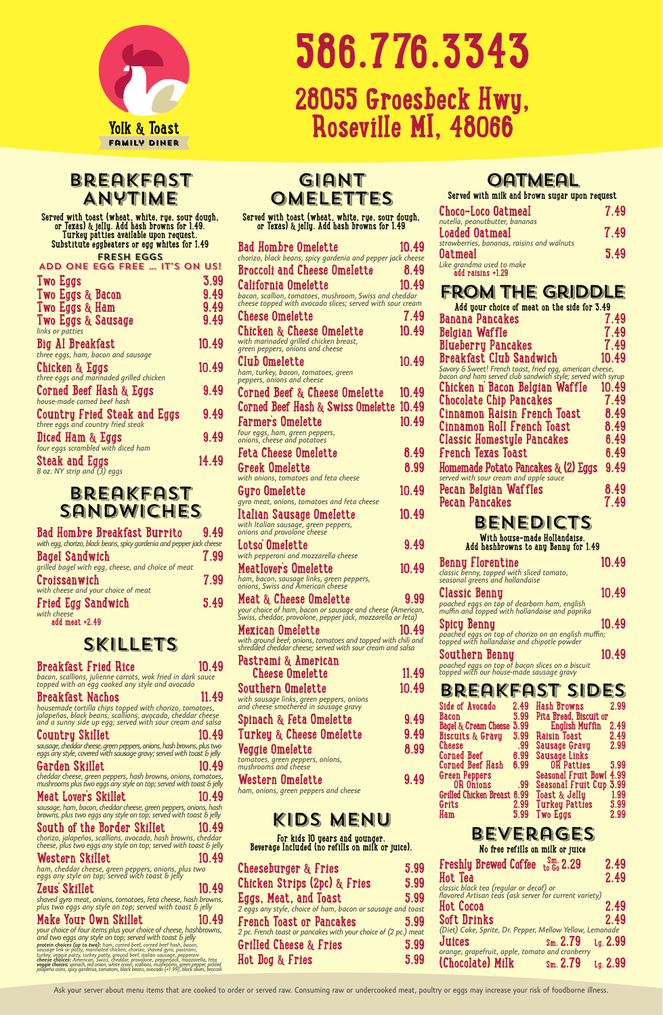

## Breakfast Anytime

**Served with toast (wheat, white, rye, sour dough, or Texas) & jelly. Add hash browns for 1.49. Turkey patties available upon request. Substitute eggbeaters or egg whites for 1.49**

#### FRESH EGGS  $T^{\prime}$ C an us!

| AUU UNE EUU FREE … II J UN UJ.                                    |       |
|-------------------------------------------------------------------|-------|
| <b>Two Eggs</b>                                                   | 3.99  |
| Two Eggs & Bacon                                                  | 9.49  |
| Two Eggs & Ham                                                    | 9.49  |
| Two Eggs & Sausage<br>links or patties                            | 9.49  |
| Big Al Breakfast                                                  | 10.49 |
| three eggs, ham, bacon and sausage                                |       |
| Chicken & Eggs<br>three eggs and marinaded grilled chicken        | 10.49 |
| <b>Corned Beef Hash &amp; Eggs</b><br>house-made corned beef hash | 9.49  |
| <b>Country Fried Steak and Eggs</b>                               | 9.49  |
| three eggs and country fried steak                                | 9.49  |
| Diced Ham & Eggs<br>four eggs scrambled with diced ham            |       |
| Steak and Eggs<br>8 oz. NY strip and (3) eggs                     | 14.49 |
|                                                                   |       |

#### Breakfast Sandwiches

| Bad Hombre Breakfast Burrito                                          | 9.49 |
|-----------------------------------------------------------------------|------|
| with egg, chorizo, black beans, spicy gardenia and pepper jack cheese |      |
| <b>Bagel Sandwich</b>                                                 | 7.99 |
| grilled bagel with egg, cheese, and choice of meat                    |      |
| Croissanwich                                                          | 7.99 |
| with cheese and your choice of meat                                   |      |
| <b>Fried Egg Sandwich</b><br>with cheese                              | 5.49 |
| add meat +2.49                                                        |      |

#### SKILLETS

*your choice of four items plus your choice of cheese, hashbrowns, and two eggs any style on top; served with toast & jelly* **protein choices (up to two):** ham, corned beef, corned beef hash, bacon,<br>sausage link or patty, marinated chicken, chorizo, shaved gyro, pastrami,<br>turkey, veggie patty, turkey patty, ground beef, italian sausage, pepperon

| <b>Breakfast Fried Rice</b><br>bacon, scallions, julienne carrots, wok fried in dark sauce<br>topped with an egg cooked any style and avocado                                      | 10.49 |
|------------------------------------------------------------------------------------------------------------------------------------------------------------------------------------|-------|
| <b>Breakfast Nachos</b>                                                                                                                                                            | 11.49 |
| housemade tortilla chips topped with chorizo, tomatoes,<br>jalapeños, black beans, scallions, avocado, cheddar cheese<br>and a sunny side up egg; served with sour cream and salsa |       |

#### **Country Skillet 10.49**

*sausage, cheddar cheese, green peppers, onions, hash browns, plus two eggs any style, covered with sausage gravy; served with toast & jelly*

#### **Garden Skillet 10.49**

*cheddar cheese, green peppers, hash browns, onions, tomatoes, mushrooms plus two eggs any style on top; served with toast & jelly*

#### **Meat Lover's Skillet 10.49**

*sausage, ham, bacon, cheddar cheese, green peppers, onions, hash browns, plus two eggs any style on top; served with toast & jelly*

**South of the Border Skillet 10.49** *chorizo, jalapeños, scallions, avocado, hash browns, cheddar* 

*cheese, plus two eggs any style on top; served with toast & jelly*

#### **Western Skillet 10.49**

*ham, cheddar cheese, green peppers, onions, plus two eggs any style on top; served with toast & jelly*

#### **Zeus' Skillet 10.49**

*shaved gyro meat, onions, tomatoes, feta cheese, hash browns, plus two eggs any style on top; served with toast & jelly*

#### **Make Your Own Skillet 10.49**

#### **Turkey & Cheese Omelette 4.4 Veggie Omelette 8.99**

**Served with toast (wheat, white, rye, sour dough, or Texas) & jelly. Add hash browns for 1.49**

| <b>Bad Hombre Omelette</b>                                                                                                | 10.49 |
|---------------------------------------------------------------------------------------------------------------------------|-------|
| chorizo, black beans, spicy gardenia and pepper jack cheese<br><b>Broccoli and Cheese Omelette</b>                        | 8.49  |
| California Omelette                                                                                                       | 10.49 |
| bacon, scallion, tomatoes, mushroom, Swiss and cheddar<br>cheese topped with avocado slices; served with sour cream       |       |
| Cheese Omelette                                                                                                           | 7.49  |
| Chicken & Cheese Omelette<br>with marinaded grilled chicken breast,<br>green peppers, onions and cheese                   | 10.49 |
| Club Omelette<br>ham, turkey, bacon, tomatoes, green<br>peppers, onions and cheese                                        | 10.49 |
| Corned Beef & Cheese Omelette                                                                                             | 10.49 |
| Corned Beef Hash $\&$ Swiss Omelette                                                                                      | 10.49 |
| Farmer's Omelette                                                                                                         | 10.49 |
| four eggs, ham, green peppers,<br>onions, cheese and potatoes                                                             |       |
| Feta Cheese Omelette                                                                                                      | 8.49  |
| Greek Omelette<br>with onions, tomatoes and feta cheese                                                                   | 8.99  |
| Gyro Omelette                                                                                                             | 10.49 |
| gyro meat, onions, tomatoes and feta cheese<br>Italian Sausage Omelette                                                   | 10.49 |
| with Italian sausage, green peppers,<br>onions and provolone cheese                                                       |       |
| Lotso Omelette                                                                                                            | 9.49  |
| with pepperoni and mozzarella cheese                                                                                      |       |
| <b>MeatIovers Omelette</b><br>ham, bacon, sausage links, green peppers,<br>onions, Swiss and American cheese              | 10.49 |
| Meat & Cheese Omelette                                                                                                    | 9.99  |
| your choice of ham, bacon or sausage and cheese (American,<br>Świss, cheddar, provolone, pepper jack, mozzarella or feta) |       |
| <b>Mexican Omelette</b>                                                                                                   | 10.49 |
| with ground beef, onions, tomatoes and topped with chili and<br>shredded cheddar cheese; served with sour cream and salsa |       |
| Pastrami & American                                                                                                       |       |
| Cheese Omelette                                                                                                           | 11.49 |
| Southern Omelette                                                                                                         | 10.49 |
| with sausage links, green peppers, onions<br>and cheese smothered in sausage gravy                                        |       |
| Spinach & Feta Omelette                                                                                                   | 9.49  |
| Turkou 8. Chaoca Omalotto                                                                                                 | 0 Y O |

## **OATMEAL**

*tomatoes, green peppers, onions, mushrooms and cheese*

#### **Western Omelette 9.49**

*ham, onions, green peppers and cheese*

## Kids Menu

**For kids 10 years and younger. Beverage Included (no refills on milk or juice).**

| Cheeseburger & Fries                                            | 5.99 |
|-----------------------------------------------------------------|------|
| Chicken Strips (2pc) & Fries                                    | 5.99 |
| Eggs, Meat, and Toast                                           | 5.99 |
| 2 eggs any style, choice of ham, bacon or sausage and toast     |      |
| <b>French Toast or Pancakes</b>                                 | 5.99 |
| 2 pc. French toast or pancakes with your choice of (2 pc.) meat |      |
| <b>Grilled Cheese &amp; Fries</b>                               | 5.99 |
| Hot Dog & Fries                                                 | 5.99 |

**Served with milk and brown sugar upon request**

| Choco-Loco Oatmeal                                                                                             | 7.49 |
|----------------------------------------------------------------------------------------------------------------|------|
| nutella, peanutbutter, bananas<br>Loaded Oatmeal                                                               | 7.49 |
| strawberries, bananas, raisins and walnuts<br>Oatmeal<br>Like grandma used to make<br><b>add raisins +1.29</b> | 5.49 |
|                                                                                                                |      |

### From the Griddle

| η  | Add your choice of meat on the side for 3.49                                                                             |              |
|----|--------------------------------------------------------------------------------------------------------------------------|--------------|
| 9  | Banana Pancakes                                                                                                          | 7.49         |
| 9  | Belgian Waffle                                                                                                           | 7.49         |
|    | Blueberry Pancakes                                                                                                       | 7.49         |
| 9  | Breakfast Club Sandwich                                                                                                  | 10.49        |
|    | Savory & Sweet! French toast, fried egg, american cheese,<br>bacon and ham served club sandwich style; served with syrup |              |
|    | Chicken n Bacon Belgian Waffle                                                                                           | 10.49        |
| 9  | <b>Chocolate Chip Pancakes</b>                                                                                           | 7.49         |
| 9  | Cinnamon Raisin French Toast                                                                                             | 8.49         |
| 9  | Cinnamon Roll French Toast                                                                                               | 8.49         |
|    | <b>Classic Homestyle Pancakes</b>                                                                                        | 6.49         |
| 9  | French Texas Toast                                                                                                       | 6.49         |
| 9  | Homemade Potato Pancakes & (2) Eggs                                                                                      | 9.49         |
|    | served with sour cream and apple sauce                                                                                   |              |
| 9  | Pecan Belgian Waffles                                                                                                    | 8.49         |
|    | Pecan Pancakes                                                                                                           | 7.49         |
| 9  |                                                                                                                          |              |
|    | BENEDICTS                                                                                                                |              |
| 9  | With house-made Hollandaise.<br>Add hashbrowns to any Benny for 1.49                                                     |              |
|    |                                                                                                                          |              |
| 9  | <b>Benny Florentine</b>                                                                                                  | 10.49        |
|    | classic benny, topped with sliced tomato,<br>seasonal greens and hollandaise                                             |              |
| 9  | Classic Benny                                                                                                            | 10.49        |
| n, | poached eggs on top of dearborn ham, english<br>muffin and topped with hollandaise and paprika                           |              |
|    | Spicy Benny                                                                                                              | 10.49        |
| d  | poached eggs on top of chorizo on an english muffin;<br>topped with hollandaise and chipotle powder                      |              |
|    |                                                                                                                          |              |
|    | Southern Benny<br>poached eggs on top of bacon slices on a biscuit                                                       | 10.49        |
| 9  | topped with our house-made sausage gravy                                                                                 |              |
| 9  | BREAKFAST SIDES                                                                                                          |              |
|    | Side of Avocado<br>Hash Browns<br>2.49                                                                                   | 2.99         |
| 9  | 5.99<br>Pita Bread, Biscuit or<br>Bacon                                                                                  |              |
|    | Bagel & Cream Cheese 3.99<br>English Muffin                                                                              | 2.49         |
| 9  | 5.99<br>Raisin Toast<br>Biscuits & Gravy<br>.99<br><b>Cheese</b>                                                         | 2.49<br>2.99 |
| 9  | Sausage Gravy<br>6.99<br><b>Corned Beef</b><br>Sausage Links                                                             |              |
|    | 6.99<br>Corned Beef Hash<br>OR Patties                                                                                   | 5.99         |
| 9  | <b>Seasonal Fruit Bowl 4.99</b><br><b>Green Peppers</b><br>.99<br>OR Onions                                              |              |
|    | Seasonal Fruit Cup 3.99<br>Grilled Chicken Breast 6.99<br>Toast & Jelly                                                  | 1.99         |
|    | 2.99<br>Grits<br><b>Turkey Patties</b>                                                                                   | 5.99         |
|    | 5.99<br>Ham<br><b>Two Eggs</b>                                                                                           | 2.99         |

## Beverages

**No free refills on milk or juice**

| Freshly Brewed Coffee sm. 2.29                                                                    | 2.49                |
|---------------------------------------------------------------------------------------------------|---------------------|
| Hot Tea                                                                                           | 2.49                |
| classic black tea (regular or decaf) or<br>flavored Artisan teas (ask server for current variety) |                     |
| <b>Hot Cocoa</b>                                                                                  | 2.49                |
| <b>Soft Drinks</b>                                                                                | 2.49                |
| (Diet) Coke, Sprite, Dr. Pepper, Mellow Yellow, Lemonade                                          |                     |
| Juices<br>$\rm{Sm. 2.79}$ $\rm{Lg. 2.99}$                                                         |                     |
| orange, grapefruit, apple, tomato and cranberry                                                   |                     |
| (Chocolate) Milk<br>$\rm{Sm}$ . 2.79                                                              | $I_{\alpha}$ . 2.99 |

Ask your server about menu items that are cooked to order or served raw. Consuming raw or undercooked meat, poultry or eggs may increase your risk of foodborne illness.

## **586.776.3343 28055 Groesbeck Hwy, Roseville MI, 48066**

## GIANT **OMELETTES**